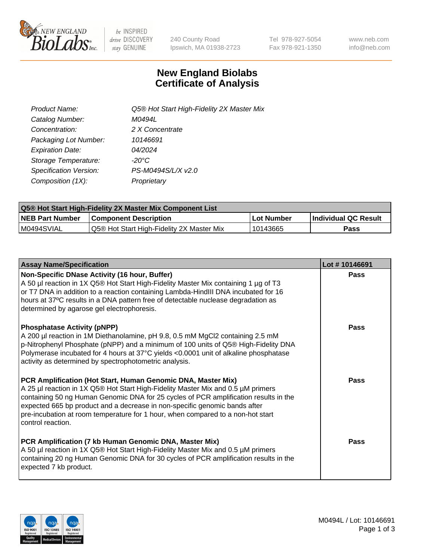

be INSPIRED drive DISCOVERY stay GENUINE

240 County Road Ipswich, MA 01938-2723 Tel 978-927-5054 Fax 978-921-1350 www.neb.com info@neb.com

## **New England Biolabs Certificate of Analysis**

| <b>Product Name:</b>    | Q5® Hot Start High-Fidelity 2X Master Mix |
|-------------------------|-------------------------------------------|
| Catalog Number:         | M0494L                                    |
| Concentration:          | 2 X Concentrate                           |
| Packaging Lot Number:   | 10146691                                  |
| <b>Expiration Date:</b> | 04/2024                                   |
| Storage Temperature:    | $-20^{\circ}$ C                           |
| Specification Version:  | PS-M0494S/L/X v2.0                        |
| Composition (1X):       | Proprietary                               |

| <b>Q5® Hot Start High-Fidelity 2X Master Mix Component List</b> |                                           |             |                      |  |  |
|-----------------------------------------------------------------|-------------------------------------------|-------------|----------------------|--|--|
| <b>NEB Part Number</b>                                          | Component Description_                    | ∣Lot Number | Individual QC Result |  |  |
| I M0494SVIAL                                                    | Q5® Hot Start High-Fidelity 2X Master Mix | '10143665   | Pass                 |  |  |

| <b>Assay Name/Specification</b>                                                                                                                                                                                                                                                                                                                                                                                                | Lot #10146691 |
|--------------------------------------------------------------------------------------------------------------------------------------------------------------------------------------------------------------------------------------------------------------------------------------------------------------------------------------------------------------------------------------------------------------------------------|---------------|
| Non-Specific DNase Activity (16 hour, Buffer)<br>A 50 µl reaction in 1X Q5® Hot Start High-Fidelity Master Mix containing 1 µg of T3<br>or T7 DNA in addition to a reaction containing Lambda-HindIII DNA incubated for 16<br>hours at 37°C results in a DNA pattern free of detectable nuclease degradation as<br>determined by agarose gel electrophoresis.                                                                  | Pass          |
| <b>Phosphatase Activity (pNPP)</b><br>A 200 µl reaction in 1M Diethanolamine, pH 9.8, 0.5 mM MgCl2 containing 2.5 mM<br>p-Nitrophenyl Phosphate (pNPP) and a minimum of 100 units of Q5® High-Fidelity DNA<br>Polymerase incubated for 4 hours at 37°C yields <0.0001 unit of alkaline phosphatase<br>activity as determined by spectrophotometric analysis.                                                                   | Pass          |
| PCR Amplification (Hot Start, Human Genomic DNA, Master Mix)<br>A 25 µl reaction in 1X Q5® Hot Start High-Fidelity Master Mix and 0.5 µM primers<br>containing 50 ng Human Genomic DNA for 25 cycles of PCR amplification results in the<br>expected 665 bp product and a decrease in non-specific genomic bands after<br>pre-incubation at room temperature for 1 hour, when compared to a non-hot start<br>control reaction. | Pass          |
| PCR Amplification (7 kb Human Genomic DNA, Master Mix)<br>A 50 µl reaction in 1X Q5® Hot Start High-Fidelity Master Mix and 0.5 µM primers<br>containing 20 ng Human Genomic DNA for 30 cycles of PCR amplification results in the<br>expected 7 kb product.                                                                                                                                                                   | Pass          |

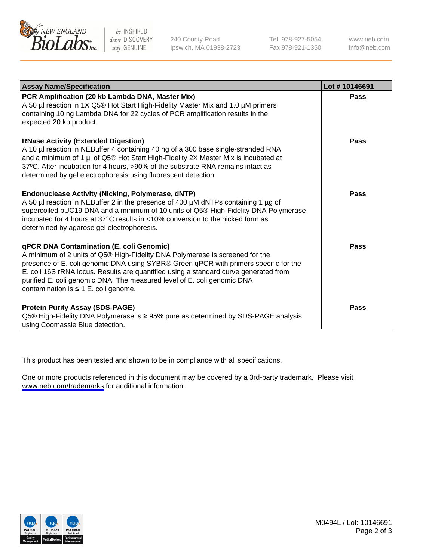

be INSPIRED drive DISCOVERY stay GENUINE

240 County Road Ipswich, MA 01938-2723 Tel 978-927-5054 Fax 978-921-1350

www.neb.com info@neb.com

| <b>Assay Name/Specification</b>                                                                                                                                                                                                                                                                                                                                                                                                  | Lot #10146691 |
|----------------------------------------------------------------------------------------------------------------------------------------------------------------------------------------------------------------------------------------------------------------------------------------------------------------------------------------------------------------------------------------------------------------------------------|---------------|
| PCR Amplification (20 kb Lambda DNA, Master Mix)<br>A 50 µl reaction in 1X Q5® Hot Start High-Fidelity Master Mix and 1.0 µM primers<br>containing 10 ng Lambda DNA for 22 cycles of PCR amplification results in the<br>expected 20 kb product.                                                                                                                                                                                 | <b>Pass</b>   |
| <b>RNase Activity (Extended Digestion)</b><br>A 10 µl reaction in NEBuffer 4 containing 40 ng of a 300 base single-stranded RNA<br>and a minimum of 1 µl of Q5® Hot Start High-Fidelity 2X Master Mix is incubated at<br>37°C. After incubation for 4 hours, >90% of the substrate RNA remains intact as<br>determined by gel electrophoresis using fluorescent detection.                                                       | Pass          |
| <b>Endonuclease Activity (Nicking, Polymerase, dNTP)</b><br>A 50 µl reaction in NEBuffer 2 in the presence of 400 µM dNTPs containing 1 µg of<br>supercoiled pUC19 DNA and a minimum of 10 units of Q5® High-Fidelity DNA Polymerase<br>incubated for 4 hours at $37^{\circ}$ C results in <10% conversion to the nicked form as<br>determined by agarose gel electrophoresis.                                                   | Pass          |
| qPCR DNA Contamination (E. coli Genomic)<br>A minimum of 2 units of Q5® High-Fidelity DNA Polymerase is screened for the<br>presence of E. coli genomic DNA using SYBR® Green qPCR with primers specific for the<br>E. coli 16S rRNA locus. Results are quantified using a standard curve generated from<br>purified E. coli genomic DNA. The measured level of E. coli genomic DNA<br>contamination is $\leq 1$ E. coli genome. | Pass          |
| <b>Protein Purity Assay (SDS-PAGE)</b><br>Q5® High-Fidelity DNA Polymerase is ≥ 95% pure as determined by SDS-PAGE analysis<br>using Coomassie Blue detection.                                                                                                                                                                                                                                                                   | Pass          |

This product has been tested and shown to be in compliance with all specifications.

One or more products referenced in this document may be covered by a 3rd-party trademark. Please visit <www.neb.com/trademarks>for additional information.